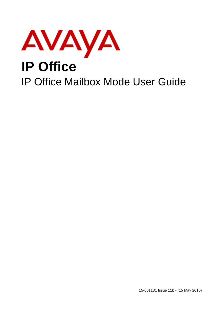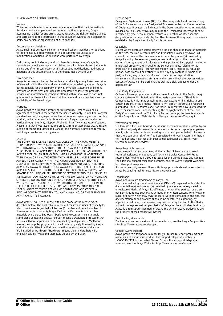#### © 2010 AVAYA All Rights Reserved.

#### Notices

While reasonable efforts have been made to ensure that the information in this document is complete and accurate at the time of printing, Avaya assumes no liability for any errors. Avaya reserves the right to make changes and corrections to the information in this document without the obligation to notify any person or organization of such changes.

#### Documentation disclaimer

Avaya shall not be responsible for any modifications, additions, or deletions to the original published version of this documentation unless such modifications, additions, or deletions were performed by Avaya.

End User agree to indemnify and hold harmless Avaya, Avaya's agents, servants and employees against all claims, lawsuits, demands and judgments arising out of, or in connection with, subsequent modifications, additions or deletions to this documentation, to the extent made by End User.

#### Link disclaimer

Avaya is not responsible for the contents or reliability of any linked Web sites referenced within this site or documentation(s) provided by Avaya. Avaya is not responsible for the accuracy of any information, statement or content provided on these sites and does not necessarily endorse the products, services, or information described or offered within them. Avaya does not guarantee that these links will work all the time and has no control over the availability of the linked pages.

#### **Warranty**

Avaya provides a limited warranty on this product. Refer to your sales agreement to establish the terms of the limited warranty. In addition, Avaya's standard warranty language, as well as information regarding support for this product, while under warranty, is available to Avaya customers and other parties through the Avaya Support Web site: http://www.avaya.com/support. Please note that if you acquired the product from an authorized Avaya reseller outside of the United States and Canada, the warranty is provided to you by said Avaya reseller and not by Avaya.

#### Licenses

THE SOFTWARE LICENSE TERMS AVAILABLE ON THE AVAYA WEBSITE, HTTP://SUPPORT.AVAYA.COM/LICENSEINFO/ ARE APPLICABLE TO ANYONE WHO DOWNLOADS, USES AND/OR INSTALLS AVAYA SOFTWARE, PURCHASED FROM AVAYA INC., ANY AVAYA AFFILIATE, OR AN AUTHORIZED AVAYA RESELLER (AS APPLICABLE) UNDER A COMMERCIAL AGREEMENT WITH AVAYA OR AN AUTHORIZED AVAYA RESELLER. UNLESS OTHERWISE AGREED TO BY AVAYA IN WRITING, AVAYA DOES NOT EXTEND THIS LICENSE IF THE SOFTWARE WAS OBTAINED FROM ANYONE OTHER THAN AVAYA, AN AVAYA AFFILIATE OR AN AVAYA AUTHORIZED RESELLER, AND AVAYA RESERVES THE RIGHT TO TAKE LEGAL ACTION AGAINST YOU AND ANYONE ELSE USING OR SELLING THE SOFTWARE WITHOUT A LICENSE. BY INSTALLING, DOWNLOADING OR USING THE SOFTWARE, OR AUTHORIZING OTHERS TO DO SO, YOU, ON BEHALF OF YOURSELF AND THE ENTITY FOR WHOM YOU ARE INSTALLING, DOWNLOADING OR USING THE SOFTWARE (HEREINAFTER REFERRED TO INTERCHANGEABLY AS "YOU" AND "END USER"), AGREE TO THESE TERMS AND CONDITIONS AND CREATE A BINDING CONTRACT BETWEEN YOU AND AVAYA INC. OR THE APPLICABLE AVAYA AFFILIATE ("AVAYA").

Avaya grants End User a license within the scope of the license types described below. The applicable number of licenses and units of capacity for which the license is granted will be one (1), unless a different number of licenses or units of capacity is specified in the Documentation or other materials available to End User. "Designated Processor" means a single stand-alone computing device. "Server" means a Designated Processor that hosts a software application to be accessed by multiple users. "Software' means the computer programs in object code, originally licensed by Avaya and ultimately utilized by End User, whether as stand-alone products or pre-installed on Hardware. "Hardware" means the standard hardware originally sold by Avaya and ultimately utilized by End User.

#### License types

Designated System(s) License (DS). End User may install and use each copy of the Software on only one Designated Processor, unless a different number of Designated Processors is indicated in the Documentation or other materials available to End User. Avaya may require the Designated Processor(s) to be identified by type, serial number, feature key, location or other specific designation, or to be provided by End User to Avaya through electronic means established by Avaya specifically for this purpose.

#### Copyright

Except where expressly stated otherwise, no use should be made of materials on this site, the Documentation(s) and Product(s) provided by Avaya. All content on this site, the documentation(s) and the product(s) provided by Avaya including the selection, arrangement and design of the content is owned either by Avaya or its licensors and is protected by copyright and other intellectual property laws including the sui generis rights relating to the protection of databases. You may not modify, copy, reproduce, republish, upload, post, transmit or distribute in any way any content, in whole or in part, including any code and software. Unauthorized reproduction, transmission, dissemination, storage, and or use without the express written consent of Avaya can be a criminal, as well as a civil, offense under the applicable law.

#### Third Party Components

Certain software programs or portions thereof included in the Product may contain software distributed under third party agreements ("Third Party Components"), which may contain terms that expand or limit rights to use certain portions of the Product ("Third Party Terms"). Information regarding distributed Linux OS source code (for those Products that have distributed the Linux OS source code), and identifying the copyright holders of the Third Party Components and the Third Party Terms that apply to them is available on the Avaya Support Web site: http://support.avaya.com/Copyright.

#### Preventing toll fraud

"Toll fraud" is the unauthorized use of your telecommunications system by an unauthorized party (for example, a person who is not a corporate employee, agent, subcontractor, or is not working on your company's behalf). Be aware that there can be a risk of toll fraud associated with your system and that, if toll fraud occurs, it can result in substantial additional charges for your telecommunications services.

#### Avaya fraud intervention

If you suspect that you are being victimized by toll fraud and you need technical assistance or support, call Technical Service Center Toll Fraud Intervention Hotline at +1-800-643-2353 for the United States and Canada. For additional support telephone numbers, see the Avaya Support Web site: http://support.avaya.com

Suspected security vulnerabilities with Avaya products should be reported to Avaya by sending mail to: securityalerts@avaya.com.

#### Trademarks

#### Avaya and Aura are trademarks of Avaya, Inc.

The trademarks, logos and service marks ("Marks") displayed in this site, the documentation(s) and product(s) provided by Avaya are the registered or unregistered Marks of Avaya, its affiliates, or other third parties. Users are not permitted to use such Marks without prior written consent from Avaya or such third party which may own the Mark. Nothing contained in this site, the documentation(s) and product(s) should be construed as granting, by implication, estoppel, or otherwise, any license or right in and to the Marks without the express written permission of Avaya or the applicable third party. Avaya is a registered trademark of Avaya Inc. All non-Avaya trademarks are the property of their respective owners.

#### Downloading documents

For the most current versions of documentation, see the Avaya Support Web site: http://www.avaya.com/support

#### Contact Avaya Support

Avaya provides a telephone number for you to use to report problems or to ask questions about your product. The support telephone number is 1-800-242-2121 in the United States. For additional support telephone numbers, see the Avaya Web site: http://www.avaya.com/support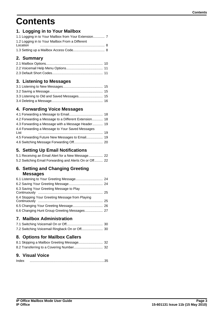## **Contents**

#### **1. Logging in to Your Mailbox**

| 1.1 Logging in to Your Mailbox from Your Extension 7 |  |
|------------------------------------------------------|--|
| 1.2 Logging in to Your Mailbox From a Different      |  |
| Location                                             |  |
|                                                      |  |

#### **2. Summary**

#### **3. Listening to Messages**

#### **4. Forwarding Voice Messages**

| 4.2 Forwarding a Message to a Different Extension 18 |  |
|------------------------------------------------------|--|
| 4.3 Forwarding a Message with a Message Header 19    |  |
| 4.4 Forwarding a Message to Your Saved Messages      |  |
| List                                                 |  |
|                                                      |  |
|                                                      |  |

#### **5. Setting Up Email Notifications**

| 5.1 Receiving an Email Alert for a New Message 22      |  |
|--------------------------------------------------------|--|
| 5.2 Switching Email Forwarding and Alerts On or Off 22 |  |

#### **Setting and Changing Greeting 6. Messages**

| 6.3 Saving Your Greeting Message to Play        |  |
|-------------------------------------------------|--|
| 6.4 Stopping Your Greeting Message from Playing |  |
|                                                 |  |
|                                                 |  |

#### **7. Mailbox Administration**

| 7.2 Switching Voicemail Ringback On or Off 30 |  |
|-----------------------------------------------|--|

#### **8. Options for Mailbox Callers**

| 9. Visual Voice |  |
|-----------------|--|

| Index |  |
|-------|--|
|       |  |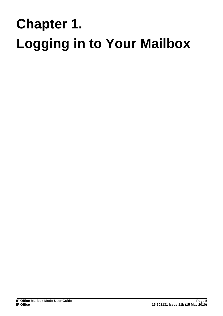# **Logging in to Your Mailbox Chapter 1.**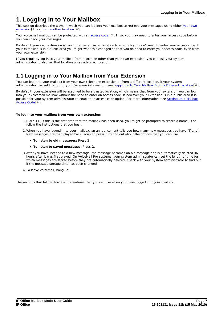## **1. Logging in to Your Mailbox**

This section describes the ways in which you can log into your mailbox to retrieve your messages using either your own extension 79 or <u>from another location</u>  $8$  º.

Your voicemail mailbox can be protected with an access code 8<sup>b</sup>. If so, you may need to enter your access code before you can check your messages.

By default your own extension is configured as a trusted location from which you don't need to enter your access code. If your extension is in a public area you might want this changed so that you do need to enter your access code, even from your own extension.

If you regularly log in to your mailbox from a location other than your own extension, you can ask your system administrator to also set that location up as a trusted location.

### **1.1 Logging in to Your Mailbox from Your Extension**

You can log in to your mailbox from your own telephone extension or from a different location, if your system administrator has set this up for you. For more information, see <u>Logging in to Your Mailbox From a Different Location</u> I 8<sup>9</sup>.

By default, your extension will be assumed to be a trusted location, which means that from your extension you can log into your voicemail mailbox without the need to enter an access code. If however your extension is in a public area it is possible for your system administrator to enable the access code option. For more information, see Setting up a Mailbox Access Code <sup>8</sup> .

**To log into your mailbox from your own extension:**

- 1.Dial **\*17**. If this is the first time that the mailbox has been used, you might be prompted to record a name. If so, follow the instructions that you hear.
- 2.When you have logged in to your mailbox, an announcement tells you how many new messages you have (if any). New messages are then played back. You can press **8** to find out about the options that you can use.
	- · **To listen to old messages:** Press **1**.
	- · **To listen to saved messages:** Press **2**.
- 3.After you have listened to a new message, the message becomes an old message and is automatically deleted 36 hours after it was first played. On VoiceMail Pro systems, your system administrator can set the length of time for which messages are stored before they are automatically deleted. Check with your system administrator to find out if the message storage time has been changed.
- 4.To leave voicemail, hang up.

The sections that follow describe the features that you can use when you have logged into your mailbox.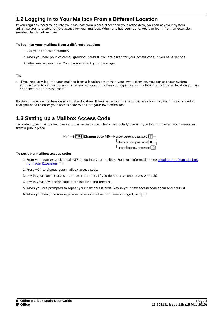### **1.2 Logging in to Your Mailbox From a Different Location**

If you regularly need to log into your mailbox from places other than your office desk, you can ask your system administrator to enable remote access for your mailbox. When this has been done, you can log in from an extension number that is not your own.

**To log into your mailbox from a different location:**

- 1.Dial your extension number.
- 2.When you hear your voicemail greeting, press **8**. You are asked for your access code, if you have set one.
- 3.Enter your access code. You can now check your messages.

#### **Tip**

· If you regularly log into your mailbox from a location other than your own extension, you can ask your system administrator to set that location as a trusted location. When you log into your mailbox from a trusted location you are not asked for an access code.

By default your own extension is a trusted location. If your extension is in a public area you may want this changed so that you need to enter your access code even from your own extension.

### **1.3 Setting up a Mailbox Access Code**

To protect your mailbox you can set up an access code. This is particularly useful if you log in to collect your messages from a public place.

Login -  $\sqrt{$04$}$  Change your PIN - enter current password  $\boxed{1}$  -

 $\mapsto$  enter new password  $\textcolor{blue}{\textbf{H}}$  confirm new password [#]

**To set up a mailbox access code:**

- 1.From your own extension dial **\*17** to log into your mailbox. For more information, see Logging in to Your Mailbox from Your Extension 7ት.
- 2.Press **\*04** to change your mailbox access code.
- 3.Key in your current access code after the tone. If you do not have one, press **#** (hash).
- 4.Key in your new access code after the tone and press **#**.
- 5. When you are prompted to repeat your new access code, key in your new access code again and press #.
- 6.When you hear, the message *Your access code has now been changed*, hang up.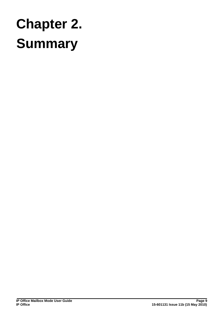# **Summary Chapter 2.**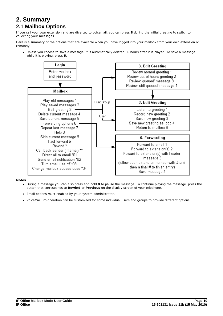## **2. Summary 2.1 Mailbox Options**

If you call your own extension and are diverted to voicemail, you can press **8** during the initial greeting to switch to collecting your messages.

Here is a summary of the options that are available when you have logged into your mailbox from your own extension or remotely.

· Unless you choose to save a message, it is automatically deleted 36 hours after it is played. To save a message while it is playing, press **5**.



**Notes**

- · During a message you can also press and hold **0** to pause the message. To continue playing the message, press the button that corresponds to **Rewind** or **Previous** on the display screen of your telephone.
- · Email options must enabled by your system administrator.
- · VoiceMail Pro operation can be customized for some individual users and groups to provide different options.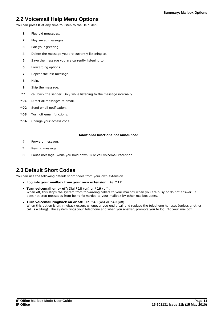#### **2.2 Voicemail Help Menu Options**

You can press **8** at any time to listen to the Help Menu.

- **1** Play old messages.
- **2** Play saved messages.
- **3** Edit your greeting.
- **4** Delete the message you are currently listening to.
- **5** Save the message you are currently listening to.
- **6** Forwarding options.
- **7** Repeat the last message.
- **8** Help.
- **9** Skip the message.
- **\*\*** call back the sender. Only while listening to the message internally.
- **\*01** Direct all messages to email.
- **\*02** Send email notification.
- **\*03** Turn off email functions.
- **\*04** Change your access code.

**Additional functions not announced.**

- **#** Forward message.
- **\*** Rewind message.
- **0** Pause message (while you hold down 0) or call voicemail reception.

### **2.3 Default Short Codes**

You can use the following default short codes from your own extension.

- · **Log into your mailbox from your own extension:** Dial **\*17**.
- · **Turn voicemail on or off:** Dial **\*18** (on) or **\*19** (off). When off, this stops the system from forwarding callers to your mailbox when you are busy or do not answer. It does not stop messages from being forwarded to your mailbox by other mailbox users.
- · **Turn voicemail ringback on or off:** Dial **\*48** (on) or **\*49** (off). When this option is on, ringback occurs whenever you end a call and replace the telephone handset (unless another call is waiting). The system rings your telephone and when you answer, prompts you to log into your mailbox.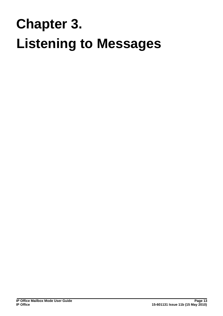# **Listening to Messages Chapter 3.**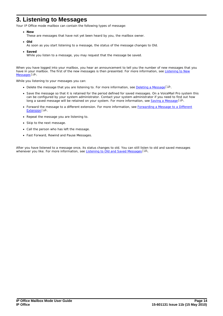## **3. Listening to Messages**

Your IP Office mode mailbox can contain the following types of message:

- · **New**
- These are messages that have not yet been heard by you, the mailbox owner.
- · **Old**
- As soon as you start listening to a message, the status of the message changes to Old.
- · **Saved**
	- While you listen to a message, you may request that the message be saved.

When you have logged into your mailbox, you hear an announcement to tell you the number of new messages that you have in your mailbox. The first of the new messages is then presented. For more information, see Listening to New Messages <sup>| 15</sup><sup>4</sup>.

While you listening to your messages you can:

- Delete the message that you are listening to. For more information, see <u>Deleting a Message</u> 16<sup>4</sup>.
- · Save the message so that it is retained for the period defined for saved messages. On a VoiceMail Pro system this can be configured by your system administrator. Contact your system administrator if you need to find out how long a saved message will be retained on your system. For more information, see <u>Saving a Message</u> | 15<sup>5</sup>1.
- Forward the message to a different extension. For more information, see Forwarding a Message to a Different  $Extension | 18<sup>4</sup>$ .
- · Repeat the message you are listening to.
- · Skip to the next message.
- · Call the person who has left the message.
- · Fast Forward, Rewind and Pause Messages.

After you have listened to a message once, its status changes to old. You can still listen to old and saved messages whenever you like. For more information, see <u>Listening to Old and Saved Messages</u> 15h.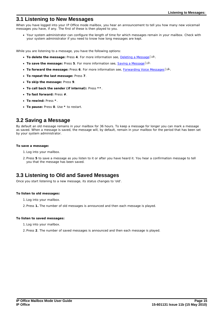#### **3.1 Listening to New Messages**

When you have logged into your IP Office mode mailbox, you hear an announcement to tell you how many new voicemail messages you have, if any. The first of these is then played to you.

· Your system administrator can configure the length of time for which messages remain in your mailbox. Check with your system administrator if you need to know how long messages are kept.

While you are listening to a message, you have the following options:

- To delete the message: Press 4. For more information see, <u>Deleting a Message 565.</u>
- To save the message: Press 5. For more information see, <u>Saving a Message</u> 15<sup>4</sup>
- To forward the message: Press 6. For more information see, <u>Forwarding Voice Messages</u> 18<sup>5</sup>.
- · **To repeat the last message:** Press **7**.
- · **To skip the message:** Press **9**.
- · **To call back the sender (if internal):** Press **\*\***.
- · **To fast forward:** Press **#**.
- · **To rewind:** Press **\***.
- · **To pause:** Press **0**. Use **\*** to restart.

#### **3.2 Saving a Message**

By default an old message remains in your mailbox for 36 hours. To keep a message for longer you can mark a message as saved. When a message is saved, the message will, by default, remain in your mailbox for the period that has been set by your system administrator.

**To save a message:**

- 1.Log into your mailbox.
- 2.Press **5** to save a message as you listen to it or after you have heard it. You hear a confirmation message to tell you that the message has been saved.

#### **3.3 Listening to Old and Saved Messages**

Once you start listening to a new message, its status changes to 'old'.

**To listen to old messages:**

1.Log into your mailbox.

2.Press **1.** The number of old messages is announced and then each message is played.

**To listen to saved messages:**

- 1.Log into your mailbox.
- 2.Press **2**. The number of saved messages is announced and then each message is played.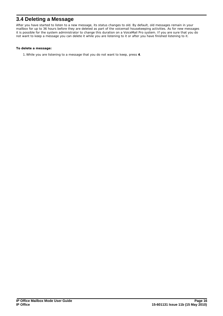### **3.4 Deleting a Message**

After you have started to listen to a new message, its status changes to old. By default, old messages remain in your mailbox for up to 36 hours before they are deleted as part of the voicemail housekeeping activities. As for new messages it is possible for the system administrator to change this duration on a VoiceMail Pro system. If you are sure that you do not want to keep a message you can delete it while you are listening to it or after you have finished listening to it.

**To delete a message:**

1.While you are listening to a message that you do not want to keep, press **4**.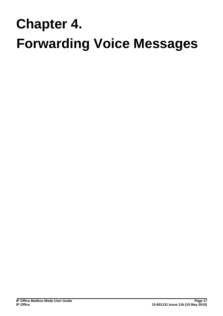## **Forwarding Voice Messages Chapter 4.**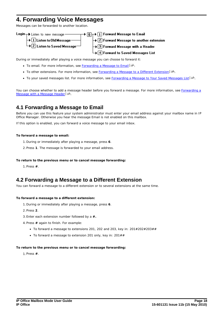## **4. Forwarding Voice Messages**

Messages can be forwarded to another location.



During or immediately after playing a voice message you can choose to forward it:

- To email. For more information, see <u>Forwarding a Message to Email</u> 18<sup>4</sup>.
- To other extensions. For more information, see <u>Forwarding a Message to a Different Extension</u> 1<del>8)</del>.
- $\bullet~$  To your saved messages list. For more information, see <u>Forwarding a Message to Your Saved Messages List</u>|19<sup>5</sup>).

You can choose whether to add a message header before you forward a message. For more information, see Forwarding a Message with a Message Header 19 H

#### **4.1 Forwarding a Message to Email**

Before you can use this feature your system administrator must enter your email address against your mailbox name in IP Office Manager. Otherwise you hear the message *Email is not enabled on this mailbox*.

If this option is enabled, you can forward a voice message to your email inbox.

**To forward a message to email:**

- 1.During or immediately after playing a message, press **6**.
- 2.Press **1**. The message is forwarded to your email address.

**To return to the previous menu or to cancel message forwarding:**

1.Press **#**.

#### **4.2 Forwarding a Message to a Different Extension**

You can forward a message to a different extension or to several extensions at the same time.

**To forward a message to a different extension:**

- 1.During or immediately after playing a message, press **6**.
- 2.Press **2**.
- 3.Enter each extension number followed by a **#.**
- 4.Press **#** again to finish. For example:
	- To forward a message to extensions 201, 202 and 203, key in:  $201\#202\#203\#4$
	- To forward a message to extension 201 only, key in: 201##

**To return to the previous menu or to cancel message forwarding:**

1.Press **#**.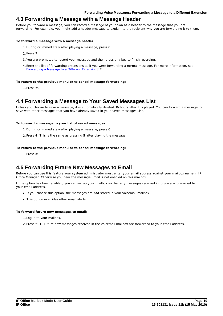### **4.3 Forwarding a Message with a Message Header**

Before you forward a message, you can record a message of your own as a header to the message that you are forwarding. For example, you might add a header message to explain to the recipient why you are forwarding it to them.

**To forward a message with a message header:**

- 1.During or immediately after playing a message, press **6**.
- 2.Press **3**.
- 3.You are prompted to record your message and then press any key to finish recording.
- 4.Enter the list of forwarding extensions as if you were forwarding a normal message. For more information, see <u>Forwarding a Message to a Different Extension</u>| 18<del>ገ</del>

**To return to the previous menu or to cancel message forwarding:**

1. Pross  $#$ 

#### **4.4 Forwarding a Message to Your Saved Messages List**

Unless you choose to save a message, it is automatically deleted 36 hours after it is played. You can forward a message to save with other messages that you have already saved in your saved messages List.

**To forward a message to your list of saved messages:**

- 1.During or immediately after playing a message, press **6**.
- 2.Press **4**. This is the same as pressing **5** after playing the message.

**To return to the previous menu or to cancel message forwarding:**

1.Press **#**.

#### **4.5 Forwarding Future New Messages to Email**

Before you can use this feature your system administrator must enter your email address against your mailbox name in IP Office Manager. Otherwise you hear the message *Email is not enabled on this mailbox*.

If the option has been enabled, you can set up your mailbox so that any messages received in future are forwarded to your email address.

- · If you choose this option, the messages are **not** stored in your voicemail mailbox.
- · This option overrides other email alerts.

**To forward future new messages to email:**

- 1.Log in to your mailbox.
- 2.Press **\*01**. Future new messages received in the voicemail mailbox are forwarded to your email address.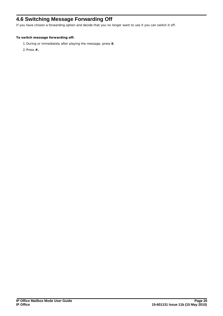## **4.6 Switching Message Forwarding Off**

If you have chosen a forwarding option and decide that you no longer want to use it you can switch it off.

**To switch message forwarding off:**

1.During or immediately after playing the message, press **6**.

2.Press **#.**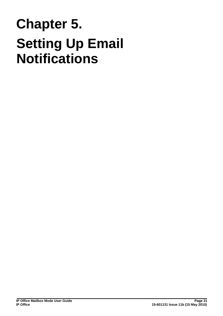## **Setting Up Email Notifications Chapter 5.**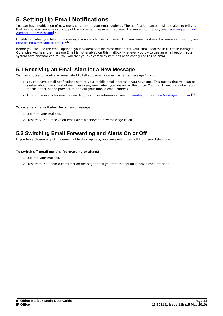## **5. Setting Up Email Notifications**

You can have notification of new messages sent to your email address. The notification can be a simple alert to tell you that you have a message or a copy of the voicemail message if required. For more information, see Receiving an Email Alert for a New Message 22 .

In addition, when you listen to a message you can choose to forward it to your email address. For more information, see Forwarding a Message to Email 18ी.

Before you can use the email options, your system administrator must enter your email address in IP Office Manager. Otherwise you hear the message *Email is not enabled on this mailbox* whenever you try to use an email option. Your system administrator can tell you whether your voicemail system has been configured to use email.

### **5.1 Receiving an Email Alert for a New Message**

You can choose to receive an email alert to tell you when a caller has left a message for you.

- · You can have email notifications sent to your mobile email address if you have one. This means that you can be alerted about the arrival of new messages, even when you are out of the office. You might need to contact your mobile or cell phone provider to find out your mobile email address.
- This option overrides email forwarding. For more information see, <u>Forwarding Future New Messages to Email</u> 19<sup>9</sup>.

**To receive an email alert for a new message:**

- 1.Log in to your mailbox.
- 2.Press **\*02**. You receive an email alert whenever a new message is left .

### **5.2 Switching Email Forwarding and Alerts On or Off**

If you have chosen any of the email notification options, you can switch them off from your telephone.

**To switch off email options (forwarding or alerts):**

- 1.Log into your mailbox.
- 2.Press **\*03**. You hear a confirmation message to tell you that the option is now turned off or on.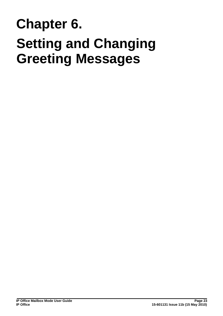## **Setting and Changing Greeting Messages Chapter 6.**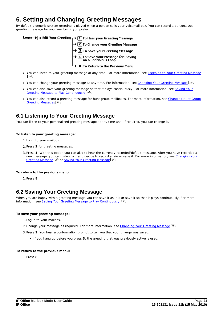## **6. Setting and Changing Greeting Messages**

By default a generic system greeting is played when a person calls your voicemail box. You can record a personalized greeting message for your mailbox if you prefer.

| Login $\rightarrow$ $\fbox{3}$ Edit Your Greeting $\rightarrow$ $\fbox{1}$ To Hear your Greeting Message                  |
|---------------------------------------------------------------------------------------------------------------------------|
| $\rightarrow$ $\boxed{2}$ To Change your Greeting Message                                                                 |
|                                                                                                                           |
| $\rightarrow$ 3 To Save your Greeting Message<br>$\rightarrow$ 4 To Save your Message for Playing<br>on a Continious Loop |
| $\rightarrow$ $\fbox{8}$ To Return to the Previous Menu                                                                   |

- · You can listen to your greeting message at any time. For more information, see Listening to Your Greeting Message .<br>Listen on the state of the state of the state of the state of the state of the state of the state of the state  $\sqrt{24}$
- You can change your greeting message at any time. For information, see <u>Changing Your Greeting Message</u> 284.
- · You can also save your greeting message so that it plays continuously. For more information, see Saving Your Greeting Message to Play Continuously 25 ft.
- · You can also record a greeting message for hunt group mailboxes. For more information, see Changing Hunt Group Greeting Messages 27 .

### **6.1 Listening to Your Greeting Message**

You can listen to your personalized greeting message at any time and, if required, you can change it.

**To listen to your greeting message:**

- 1.Log into your mailbox.
- 2.Press **3** for greeting messages.
- 3.Press **1.** With this option you can also to hear the currently recorded/default message. After you have recorded a new message, you can listen to it and decide to record again or save it. For more information, see Changing Your Greeting Message। 26 hor <u>Saving Your Greeting Message</u>। 24 .

**To return to the previous menu:**

1.Press **8**.

#### **6.2 Saving Your Greeting Message**

When you are happy with a greeting message you can save it as it is or save it so that it plays continuously. For more information, see <u>Saving Your Greeting Message to Play Continuously</u> 25 Amery 2014.

**To save your greeting message:**

- 1.Log in to your mailbox.
- 2. Change your message as required. For more information, see <u>Changing Your Greeting Message</u> 26<sup>4</sup>.
- 3.Press **3**. You hear a conformation prompt to tell you that your change was saved.
	- · If you hang up before you press **3**, the greeting that was previously active is used.

**To return to the previous menu:**

1.Press **8**.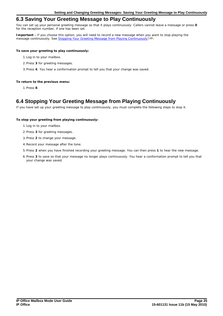#### **6.3 Saving Your Greeting Message to Play Continuously**

You can set up your personal greeting message so that it plays continuously. Callers cannot leave a message or press **0** for the reception number, if one has been set.

**Important -** If you choose this option, you will need to record a new message when you want to stop playing the message continuously. See <u>Stopping Your Greeting Message from Playing Continuously</u> 25 Amerry 2014.

**To save your greeting to play continuously:**

- 1.Log in to your mailbox.
- 2.Press **3** for greeting messages.
- 3.Press **4**. You hear a conformation prompt to tell you that your change was saved.

**To return to the previous menu:**

1.Press **8**.

### **6.4 Stopping Your Greeting Message from Playing Continuously**

If you have set up your greeting message to play continuously, you must complete the following steps to stop it.

**To stop your greeting from playing continuously:**

- 1.Log in to your mailbox.
- 2.Press **3** for greeting messages.
- 3.Press **2** to change your message.
- 4.Record your message after the tone.
- 5.Press **2** when you have finished recording your greeting message. You can then press **1** to hear the new message.
- 6.Press **3** to save so that your message no longer plays continuously. You hear a conformation prompt to tell you that your change was saved.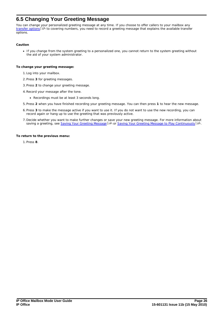### **6.5 Changing Your Greeting Message**

You can change your personalized greeting message at any time. If you choose to offer callers to your mailbox any transfer options 32 to covering numbers, you need to record a greeting message that explains the available transfer options.

#### **Caution**

· If you change from the system greeting to a personalized one, you cannot return to the system greeting without the aid of your system administrator.

**To change your greeting message:**

- 1.Log into your mailbox.
- 2.Press **3** for greeting messages.
- 3.Press **2** to change your greeting message.
- 4.Record your message after the tone.
	- · Recordings must be at least 3 seconds long.
- 5.Press **2** when you have finished recording your greeting message. You can then press **1** to hear the new message.
- 6.Press **3** to make the message active if you want to use it. If you do not want to use the new recording, you can record again or hang up to use the greeting that was previously active.
- 7.Decide whether you want to make further changes or save your new greeting message. For more information about saving a greeting, see Saving Your Greeting Message or Saving Your Greeting Message to Play Continuously . 24 25

**To return to the previous menu:**

1.Press **8**.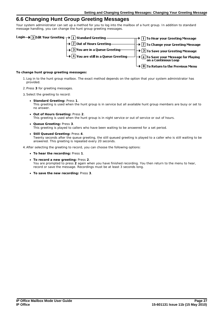#### **6.6 Changing Hunt Group Greeting Messages**

Your system administrator can set up a method for you to log into the mailbox of a hunt group. In addition to standard message handling, you can change the hunt group greeting messages.

| Login $\rightarrow$ 3 Edit Your Greeting $\rightarrow$ 1 Standard Greeting. |                                                              | $\overline{1}$ To Hear your Greeting Message $\overline{1}$ |
|-----------------------------------------------------------------------------|--------------------------------------------------------------|-------------------------------------------------------------|
|                                                                             | $\rightarrow$ $\boxed{2}$ Out of Hours Greeting.             | $\rightarrow$ $\boxed{2}$ To Change your Greeting Message   |
|                                                                             | $\rightarrow$ $\lceil 3 \rceil$ You are in a Queue Greeting- | $\boxed{3}$ To Save your Greeting Message                   |
|                                                                             | $\rightarrow$ $\boxed{4}$ You are still in a Queue Greeting. | 4 To Save your Message for Playing<br>on a Continious Loop  |
|                                                                             |                                                              | $\boxed{8}$ To Return to the Previous Menu                  |

**To change hunt group greeting messages:**

- 1.Log in to the hunt group mailbox. The exact method depends on the option that your system administrator has provided.
- 2.Press **3** for greeting messages.

3.Select the greeting to record:

- · **Standard Greeting:** Press **1**. This greeting is used when the hunt group is in service but all available hunt group members are busy or set to no answer.
- · **Out of Hours Greeting:** Press **2**. This greeting is used when the hunt group is in night service or out of service or out of hours.
- · **Queue Greeting:** Press **3**. This greeting is played to callers who have been waiting to be answered for a set period.
- · **Still Queued Greeting:** Press **4**. Twenty seconds after the queue greeting, the still queued greeting is played to a caller who is still waiting to be answered. This greeting is repeated every 20 seconds.

4.After selecting the greeting to record, you can choose the following options:

- · **To hear the recording:** Press **1**.
- · **To record a new greeting:** Press **2**. You are prompted to press **2** again when you have finished recording. You then return to the menu to hear, record or save the message. Recordings must be at least 3 seconds long.
- · **To save the new recording:** Press **3**.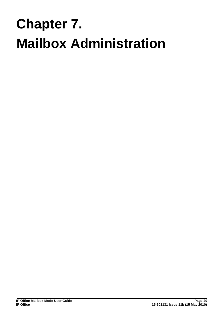## **Mailbox Administration Chapter 7.**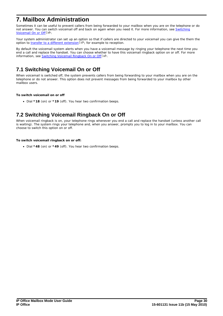## **7. Mailbox Administration**

Sometimes it can be useful to prevent callers from being forwarded to your mailbox when you are on the telephone or do not answer. You can switch voicemail off and back on again when you need it. For more information, see Switching Voicemail On or Off 30 .

Your system administrator can set up an option so that if callers are directed to your voicemail you can give the them the option to <u>transfer to a different extension</u> 32<sup>5</sup>), for example to reception.

By default the voicemail system alerts when you have a voicemail message by ringing your telephone the next time you end a call and replace the handset. You can choose whether to have this voicemail ringback option on or off. For more information, see <u>Switching Voicemail Ringback On or Off</u> 30 30 30 30 30  $\mu$ 

## **7.1 Switching Voicemail On or Off**

When voicemail is switched off, the system prevents callers from being forwarding to your mailbox when you are on the telephone or do not answer. This option does not prevent messages from being forwarded to your mailbox by other mailbox users.

**To switch voicemail on or off**

· Dial **\*18** (on) or **\*19** (off). You hear two confirmation beeps.

## **7.2 Switching Voicemail Ringback On or Off**

When voicemail ringback is on, your telephone rings whenever you end a call and replace the handset (unless another call is waiting). The system rings your telephone and, when you answer, prompts you to log in to your mailbox. You can choose to switch this option on or off.

**To switch voicemail ringback on or off:**

· Dial **\*48** (on) or **\*49** (off). You hear two confirmation beeps.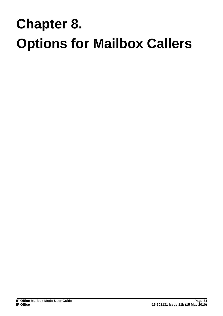## **Options for Mailbox Callers Chapter 8.**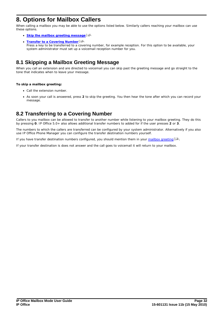## **8. Options for Mailbox Callers**

When calling a mailbox you may be able to use the options listed below. Similarly callers reaching your mailbox can use these options.

- · **Skip the mailbox greeting message** 32
- · **Transfer to a Covering Number** 32 Press a key to be transferred to a covering number, for example reception. For this option to be available, your system administrator must set up a voicemail reception number for you.

## **8.1 Skipping a Mailbox Greeting Message**

When you call an extension and are directed to voicemail you can skip past the greeting message and go straight to the tone that indicates when to leave your message.

**To skip a mailbox greeting:**

- · Call the extension number.
- · As soon your call is answered, press **2** to skip the greeting. You then hear the tone after which you can record your message.

## **8.2 Transferring to a Covering Number**

Callers to you mailbox can be allowed to transfer to another number while listening to your mailbox greeting. They do this by pressing  $O$ . IP Office 5.0+ also allows additional transfer numbers to added for if the user presses  $2$  or  $\overline{S}$ .<br>The numbers to which the callers are transferred can be configured by your system administrator. Al

use IP Office Phone Manager you can configure the transfer destination numbers yourself.

If you have transfer destination numbers configured, you should mention them in your mailbox greeting  $24$ .

If your transfer destination is does not answer and the call goes to voicemail it will return to your mailbox.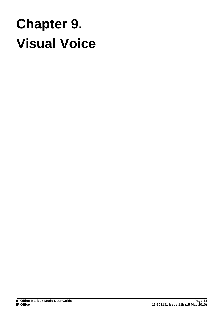## **Visual Voice Chapter 9.**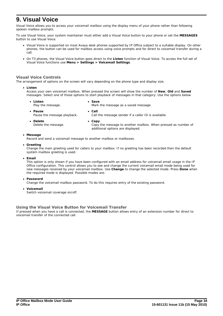## **9. Visual Voice**

Visual Voice allows you to access your voicemail mailbox using the display menu of your phone rather than following spoken mailbox prompts.

To use Visual Voice, your system maintainer must either add a Visual Voice button to your phone or set the **MESSAGES** button to use Visual Voice.

- · Visual Voice is supported on most Avaya desk phones supported by IP Office subject to a suitable display. On other phones, the button can be used for mailbox access using voice prompts and for direct to voicemail transfer during a call.
- · On T3 phones, the Visual Voice button goes direct to the **Listen** function of Visual Voice. To access the full set of Visual Voice functions use *Menu > Settings > Voicemail Settings*.

#### **Visual Voice Controls**

The arrangement of options on the screen will vary depending on the phone type and display size.

· **Listen**

Access your own voicemail mailbox. When pressed the screen will show the number of **New**, **Old** and **Saved** messages. Select one of those options to start playback of messages in that category. Use the options below

- · **Listen** Play the message. · **Save** Mark the message as a saved message.
- · **Pause** Pause the message playback. · **Delete** Delete the message. · **Call** Call the message sender if a caller ID is available. · **Copy** Copy the message to another mailbox. When pressed as number of additional options are displayed.
- · **Message**

Record and send a voicemail message to another mailbox or mailboxes.

· **Greeting**

Change the main greeting used for callers to your mailbox. If no greeting has been recorded then the default system mailbox greeting is used.

· **Email**

This option is only shown if you have been configured with an email address for voicemail email usage in the IP Office configuration. This control allows you to see and change the current voicemail email mode being used for new messages received by your voicemail mailbox. Use **Change** to change the selected mode. Press **Done** when the required mode is displayed. Possible modes are:

· **Password**

Change the voicemail mailbox password. To do this requires entry of the existing password.

· **Voicemail** Switch voicemail coverage on/off.

#### **Using the Visual Voice Button for Voicemail Transfer**

If pressed when you have a call is connected, the **MESSAGE** button allows entry of an extension number for direct to voicemail transfer of the connected call.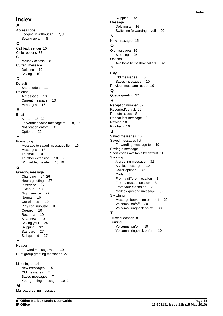## **Index**

**A** Access code Logging in without an  $7, 8$ Setting up an 8 **C** Call back sender 10 Caller options 32 Code Mailbox access 8 Current message Deleting 10 Saving 10 **D** Default Short codes 11 Deleting A message 10 Current message 10 Messages 16 **E** Email Alerts 18, 22 Forwarding voice message to 18, 19, 22 Notification on/off 10 Options 22 **F** Forwarding Message to saved messages list 19 Messages 18 To email 10 To other extension 10, 18 With added header 10, 19

#### **G**

Greeting message Changing 24, 26 Hours greeting 27 In service 27 Listen to 10 Night service 27 Normal 10 Out of hours 10 Play continuously 10 Queued 10 Record a 10 Save new 10 Saving your 24 Skipping 32 Standard 27 and 27 and 20 and 20 and 20 and 20 and 20 and 20 and 20 and 20 and 20 and 20 and 20 and 20 and 20 Still queued 27

#### **H**

Header Forward message with 10 Hunt group greeting messages 27 **L** Listening to 14 New messages 15

Old messages 7 Saved messages 7 Your greeting message 10, 24 **M**

Mailbox greeting message

Skipping 32 Message Deleting a 16 Switching forwarding on/off 20 **N** New messages 15 **O** Old messages 15 Stopping 25 **Options** Available to mailbox callers 32 **P** Play Old messages 10 Saves messages 10 Previous message repeat 10 **Q** Queue greeting 27 **R** Reception number 32 Recorded/default 26 Remote access 8 Repeat last message 10 Rewind 10 Ringback 10 **S** Saved messages 15 Saved messages list Forwarding message to 19 Saving a message 15

Short codes available by default 11 Skipping A greeting message 32 A voice message 10 Caller options 32 Code 8 From a different location 8 From a trusted location 8 From your extension 7 Mailbox greeting message 32 Switching Message forwarding on or off 20 Voicemail on/off 30 Voicemail ringback on/off 30

**T** Trusted location 8 **Turning** Voicemail on/off 10 Voicemail ringback on/off 10